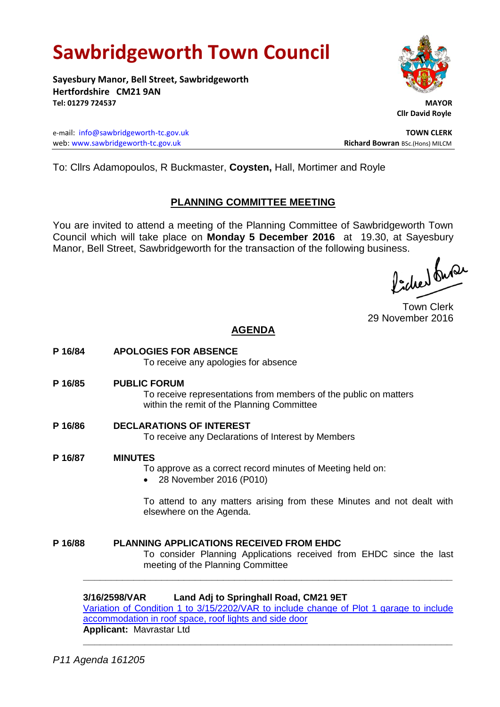# **Sawbridgeworth Town Council**

**Sayesbury Manor, Bell Street, Sawbridgeworth Hertfordshire CM21 9AN Tel: 01279 724537 MAYOR**

e-mail: [info@sawbridgeworth-tc.gov.uk](mailto:info@sawbridgeworth-tc.gov.uk) **TOWN CLERK** web: www.sawbridgeworth-tc.gov.uk<br> **Richard Bowran** BSc.(Hons) MILCM



 **Cllr David Royle**

To: Cllrs Adamopoulos, R Buckmaster, **Coysten,** Hall, Mortimer and Royle

### **PLANNING COMMITTEE MEETING**

You are invited to attend a meeting of the Planning Committee of Sawbridgeworth Town Council which will take place on **Monday 5 December 2016** at 19.30, at Sayesbury Manor, Bell Street, Sawbridgeworth for the transaction of the following business.

licher buse

Town Clerk 29 November 2016

# **AGENDA**

**P 16/84 APOLOGIES FOR ABSENCE** To receive any apologies for absence **P 16/85 PUBLIC FORUM** To receive representations from members of the public on matters within the remit of the Planning Committee **P 16/86 DECLARATIONS OF INTEREST** To receive any Declarations of Interest by Members **P 16/87 MINUTES** To approve as a correct record minutes of Meeting held on: 28 November 2016 (P010) To attend to any matters arising from these Minutes and not dealt with elsewhere on the Agenda. **P 16/88 PLANNING APPLICATIONS RECEIVED FROM EHDC** To consider Planning Applications received from EHDC since the last meeting of the Planning Committee **\_\_\_\_\_\_\_\_\_\_\_\_\_\_\_\_\_\_\_\_\_\_\_\_\_\_\_\_\_\_\_\_\_\_\_\_\_\_\_\_\_\_\_\_\_\_\_\_\_\_\_\_\_\_\_\_\_\_\_\_\_\_\_\_\_\_**

#### **3/16/2598/VAR Land Adj to Springhall Road, CM21 9ET**

[Variation of Condition 1 to 3/15/2202/VAR to include change of Plot 1 garage to include](https://publicaccess.eastherts.gov.uk/online-applications/applicationDetails.do?activeTab=summary&keyVal=OH1A9TGLM9S00)  [accommodation in roof space, roof lights and side door](https://publicaccess.eastherts.gov.uk/online-applications/applicationDetails.do?activeTab=summary&keyVal=OH1A9TGLM9S00) **Applicant:** Mavrastar Ltd

**\_\_\_\_\_\_\_\_\_\_\_\_\_\_\_\_\_\_\_\_\_\_\_\_\_\_\_\_\_\_\_\_\_\_\_\_\_\_\_\_\_\_\_\_\_\_\_\_\_\_\_\_\_\_\_\_\_\_\_\_\_\_\_\_\_\_**